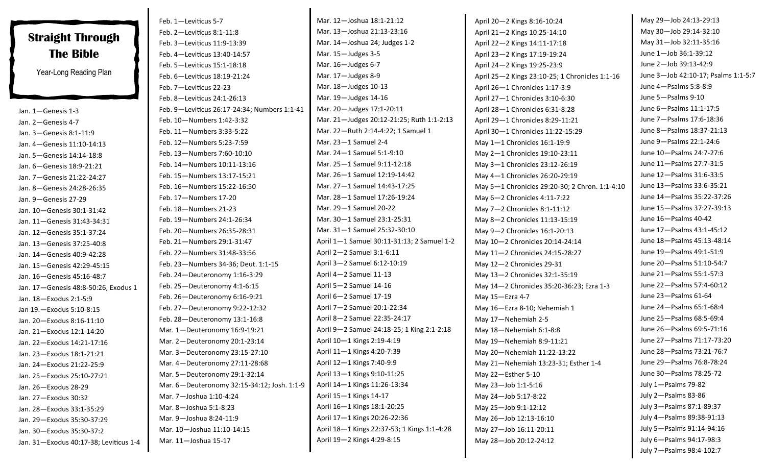|                                        | Feb. 1-Leviticus 5-7                         | Mar. 12-Joshua 18:1-21:12                   | April 20-2 Kings 8:16-10:24                    | May 29-Job 24:13-29:13              |
|----------------------------------------|----------------------------------------------|---------------------------------------------|------------------------------------------------|-------------------------------------|
| <b>Straight Through</b>                | Feb. 2-Leviticus 8:1-11:8                    | Mar. 13-Joshua 21:13-23:16                  | April 21-2 Kings 10:25-14:10                   | May 30-Job 29:14-32:10              |
|                                        | Feb. 3-Leviticus 11:9-13:39                  | Mar. 14-Joshua 24; Judges 1-2               | April 22-2 Kings 14:11-17:18                   | May 31-Job 32:11-35:16              |
| <b>The Bible</b>                       | Feb. 4-Leviticus 13:40-14:57                 | Mar. $15 -$ Judges 3-5                      | April 23-2 Kings 17:19-19:24                   | June 1-Job 36:1-39:12               |
|                                        | Feb. 5-Leviticus 15:1-18:18                  | Mar. 16-Judges 6-7                          | April 24-2 Kings 19:25-23:9                    | June 2-Job 39:13-42:9               |
| Year-Long Reading Plan                 | Feb. 6-Leviticus 18:19-21:24                 | Mar. 17-Judges 8-9                          | April 25-2 Kings 23:10-25; 1 Chronicles 1:1-16 | June 3-Job 42:10-17; Psalms 1:1-5:7 |
|                                        | Feb. 7-Leviticus 22-23                       | Mar. 18-Judges 10-13                        | April 26-1 Chronicles 1:17-3:9                 | June 4-Psalms 5:8-8:9               |
|                                        | Feb. 8-Leviticus 24:1-26:13                  | Mar. 19-Judges 14-16                        | April 27-1 Chronicles 3:10-6:30                | June 5-Psalms 9-10                  |
| Jan. 1-Genesis 1-3                     | Feb. 9-Leviticus 26:17-24:34; Numbers 1:1-41 | Mar. 20-Judges 17:1-20:11                   | April 28-1 Chronicles 6:31-8:28                | June 6-Psalms 11:1-17:5             |
| Jan. 2-Genesis 4-7                     | Feb. 10-Numbers 1:42-3:32                    | Mar. 21-Judges 20:12-21:25; Ruth 1:1-2:13   | April 29-1 Chronicles 8:29-11:21               | June 7-Psalms 17:6-18:36            |
| Jan. 3-Genesis 8:1-11:9                | Feb. 11-Numbers 3:33-5:22                    | Mar. 22-Ruth 2:14-4:22; 1 Samuel 1          | April 30-1 Chronicles 11:22-15:29              | June 8-Psalms 18:37-21:13           |
| Jan. 4-Genesis 11:10-14:13             | Feb. 12-Numbers 5:23-7:59                    | Mar. 23-1 Samuel 2-4                        | May $1-1$ Chronicles $16:1-19:9$               | June 9-Psalms 22:1-24:6             |
| Jan. 5-Genesis 14:14-18:8              | Feb. 13-Numbers 7:60-10:10                   | Mar. 24-1 Samuel 5:1-9:10                   | May 2-1 Chronicles 19:10-23:11                 | June 10-Psalms 24:7-27:6            |
| Jan. 6-Genesis 18:9-21:21              | Feb. 14-Numbers 10:11-13:16                  | Mar. 25-1 Samuel 9:11-12:18                 | May 3-1 Chronicles 23:12-26:19                 | June 11-Psalms 27:7-31:5            |
| Jan. 7-Genesis 21:22-24:27             | Feb. 15-Numbers 13:17-15:21                  | Mar. 26-1 Samuel 12:19-14:42                | May 4-1 Chronicles 26:20-29:19                 | June 12-Psalms 31:6-33:5            |
| Jan. 8-Genesis 24:28-26:35             | Feb. 16-Numbers 15:22-16:50                  | Mar. 27-1 Samuel 14:43-17:25                | May 5-1 Chronicles 29:20-30; 2 Chron. 1:1-4:10 | June 13-Psalms 33:6-35:21           |
| Jan. 9-Genesis 27-29                   | Feb. 17-Numbers 17-20                        | Mar. 28-1 Samuel 17:26-19:24                | May $6-2$ Chronicles 4:11-7:22                 | June 14-Psalms 35:22-37:26          |
| Jan. 10-Genesis 30:1-31:42             | Feb. 18-Numbers 21-23                        | Mar. 29-1 Samuel 20-22                      | May 7-2 Chronicles 8:1-11:12                   | June 15-Psalms 37:27-39:13          |
| Jan. 11-Genesis 31:43-34:31            | Feb. 19-Numbers 24:1-26:34                   | Mar. 30-1 Samuel 23:1-25:31                 | May 8-2 Chronicles 11:13-15:19                 | June 16-Psalms 40-42                |
| Jan. 12-Genesis 35:1-37:24             | Feb. 20-Numbers 26:35-28:31                  | Mar. 31-1 Samuel 25:32-30:10                | May 9-2 Chronicles 16:1-20:13                  | June 17-Psalms 43:1-45:12           |
| Jan. 13 – Genesis 37:25-40:8           | Feb. 21-Numbers 29:1-31:47                   | April 1-1 Samuel 30:11-31:13; 2 Samuel 1-2  | May 10-2 Chronicles 20:14-24:14                | June 18-Psalms 45:13-48:14          |
| Jan. 14-Genesis 40:9-42:28             | Feb. 22-Numbers 31:48-33:56                  | April 2-2 Samuel 3:1-6:11                   | May 11-2 Chronicles 24:15-28:27                | June 19-Psalms 49:1-51:9            |
| Jan. 15 – Genesis 42:29-45:15          | Feb. 23-Numbers 34-36; Deut. 1:1-15          | April 3-2 Samuel 6:12-10:19                 | May 12-2 Chronicles 29-31                      | June 20-Psalms 51:10-54:7           |
| Jan. 16-Genesis 45:16-48:7             | Feb. 24-Deuteronomy 1:16-3:29                | April 4-2 Samuel 11-13                      | May 13-2 Chronicles 32:1-35:19                 | June 21-Psalms 55:1-57:3            |
| Jan. 17-Genesis 48:8-50:26, Exodus 1   | Feb. 25-Deuteronomy 4:1-6:15                 | April 5-2 Samuel 14-16                      | May 14-2 Chronicles 35:20-36:23; Ezra 1-3      | June 22-Psalms 57:4-60:12           |
| Jan. 18-Exodus 2:1-5:9                 | Feb. 26-Deuteronomy 6:16-9:21                | April 6-2 Samuel 17-19                      | May 15-Ezra 4-7                                | June 23-Psalms 61-64                |
| Jan 19. - Exodus 5:10-8:15             | Feb. 27-Deuteronomy 9:22-12:32               | April 7-2 Samuel 20:1-22:34                 | May 16-Ezra 8-10; Nehemiah 1                   | June 24-Psalms 65:1-68:4            |
| Jan. 20-Exodus 8:16-11:10              | Feb. 28-Deuteronomy 13:1-16:8                | April 8-2 Samuel 22:35-24:17                | May 17-Nehemiah 2-5                            | June 25-Psalms 68:5-69:4            |
| Jan. 21-Exodus 12:1-14:20              | Mar. 1-Deuteronomy 16:9-19:21                | April 9-2 Samuel 24:18-25; 1 King 2:1-2:18  | May 18-Nehemiah 6:1-8:8                        | June 26-Psalms 69:5-71:16           |
| Jan. 22-Exodus 14:21-17:16             | Mar. 2-Deuteronomy 20:1-23:14                | April 10-1 Kings 2:19-4:19                  | May 19-Nehemiah 8:9-11:21                      | June 27-Psalms 71:17-73:20          |
| Jan. 23-Exodus 18:1-21:21              | Mar. 3-Deuteronomy 23:15-27:10               | April 11-1 Kings 4:20-7:39                  | May 20-Nehemiah 11:22-13:22                    | June 28-Psalms 73:21-76:7           |
| Jan. 24-Exodus 21:22-25:9              | Mar. 4-Deuteronomy 27:11-28:68               | April 12-1 Kings 7:40-9:9                   | May 21-Nehemiah 13:23-31; Esther 1-4           | June 29-Psalms 76:8-78:24           |
| Jan. 25-Exodus 25:10-27:21             | Mar. 5-Deuteronomy 29:1-32:14                | April 13-1 Kings 9:10-11:25                 | May 22-Esther 5-10                             | June 30-Psalms 78:25-72             |
| Jan. 26-Exodus 28-29                   | Mar. 6-Deuteronomy 32:15-34:12; Josh. 1:1-9  | April 14-1 Kings 11:26-13:34                | May 23-Job 1:1-5:16                            | July 1-Psalms 79-82                 |
| Jan. 27-Exodus 30:32                   | Mar. 7-Joshua 1:10-4:24                      | April 15-1 Kings 14-17                      | May 24-Job 5:17-8:22                           | July 2-Psalms 83-86                 |
| Jan. 28-Exodus 33:1-35:29              | Mar. 8-Joshua 5:1-8:23                       | April 16-1 Kings 18:1-20:25                 | May 25-Job 9:1-12:12                           | July 3-Psalms 87:1-89:37            |
| Jan. 29-Exodus 35:30-37:29             | Mar. 9-Joshua 8:24-11:9                      | April 17-1 Kings 20:26-22:36                | May 26-Job 12:13-16:10                         | July 4-Psalms 89:38-91:13           |
| Jan. 30-Exodus 35:30-37:2              | Mar. 10-Joshua 11:10-14:15                   | April 18-1 Kings 22:37-53; 1 Kings 1:1-4:28 | May 27-Job 16:11-20:11                         | July 5-Psalms 91:14-94:16           |
| Jan. 31-Exodus 40:17-38; Leviticus 1-4 | Mar. 11-Joshua 15-17                         | April 19-2 Kings 4:29-8:15                  | May 28-Job 20:12-24:12                         | July 6-Psalms 94:17-98:3            |
|                                        |                                              |                                             |                                                | July 7-Psalms 98:4-102:7            |
|                                        |                                              |                                             |                                                |                                     |